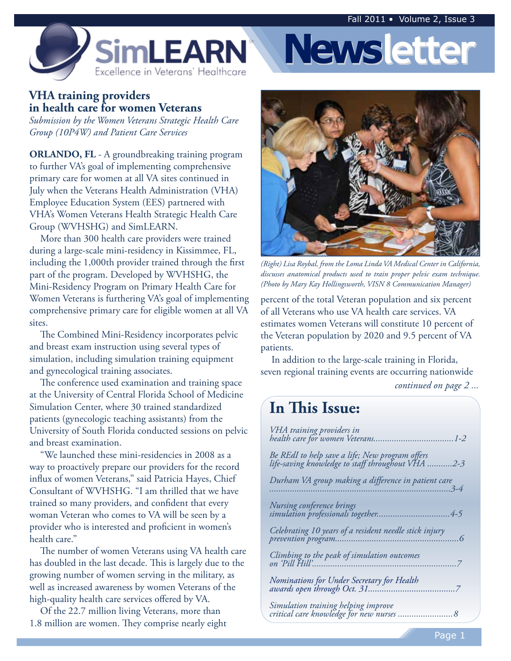

#### **VHA training providers in health care for women Veterans**

*Submission by the Women Veterans Strategic Health Care Group (10P4W) and Patient Care Services* 

**ORLANDO, FL** - A groundbreaking training program to further VA's goal of implementing comprehensive primary care for women at all VA sites continued in July when the Veterans Health Administration (VHA) Employee Education System (EES) partnered with VHA's Women Veterans Health Strategic Health Care Group (WVHSHG) and SimLEARN.

More than 300 health care providers were trained during a large-scale mini-residency in Kissimmee, FL, including the 1,000th provider trained through the first part of the program. Developed by WVHSHG, the Mini-Residency Program on Primary Health Care for Women Veterans is furthering VA's goal of implementing comprehensive primary care for eligible women at all VA sites.

The Combined Mini-Residency incorporates pelvic and breast exam instruction using several types of simulation, including simulation training equipment and gynecological training associates.

The conference used examination and training space at the University of Central Florida School of Medicine Simulation Center, where 30 trained standardized patients (gynecologic teaching assistants) from the University of South Florida conducted sessions on pelvic and breast examination.

"We launched these mini-residencies in 2008 as a way to proactively prepare our providers for the record influx of women Veterans," said Patricia Hayes, Chief Consultant of WVHSHG. "I am thrilled that we have trained so many providers, and confident that every woman Veteran who comes to VA will be seen by a provider who is interested and proficient in women's health care."

The number of women Veterans using VA health care has doubled in the last decade. This is largely due to the growing number of women serving in the military, as well as increased awareness by women Veterans of the high-quality health care services offered by VA.

Of the 22.7 million living Veterans, more than 1.8 million are women. They comprise nearly eight



**Newsletter**

*(Right) Lisa Roybal, from the Loma Linda VA Medical Center in California, discusses anatomical products used to train proper pelvic exam technique. (Photo by Mary Kay Hollingsworth, VISN 8 Communication Manager)* 

percent of the total Veteran population and six percent of all Veterans who use VA health care services. VA estimates women Veterans will constitute 10 percent of the Veteran population by 2020 and 9.5 percent of VA patients.

In addition to the large-scale training in Florida, seven regional training events are occurring nationwide

*continued on page 2 ...* 

# **In This Issue:**

| VHA training providers in                                                                            |
|------------------------------------------------------------------------------------------------------|
| Be REdI to help save a life; New program offers<br>life-saving knowledge to staff throughout VHA 2-3 |
| Durham VA group making a difference in patient care                                                  |
| Nursing conference brings                                                                            |
| Celebrating 10 years of a resident needle stick injury                                               |
| Climbing to the peak of simulation outcomes                                                          |
|                                                                                                      |
| Simulation training helping improve<br>critical care knowledge for new nurses 8                      |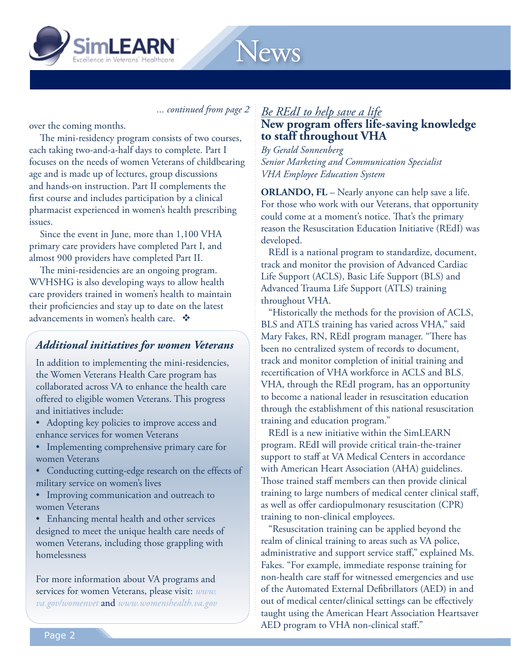

*... continued from page 2* 

News

over the coming months.

The mini-residency program consists of two courses, each taking two-and-a-half days to complete. Part I focuses on the needs of women Veterans of childbearing age and is made up of lectures, group discussions and hands-on instruction. Part II complements the first course and includes participation by a clinical pharmacist experienced in women's health prescribing issues.

Since the event in June, more than 1,100 VHA primary care providers have completed Part I, and almost 900 providers have completed Part II.

advancements in women's health care.  $\mathbf{\hat{*}}$ The mini-residencies are an ongoing program. WVHSHG is also developing ways to allow health care providers trained in women's health to maintain their proficiencies and stay up to date on the latest

## *Additional initiatives for women Veterans*

In addition to implementing the mini-residencies, the Women Veterans Health Care program has collaborated across VA to enhance the health care offered to eligible women Veterans. This progress and initiatives include:

- Adopting key policies to improve access and enhance services for women Veterans
- Implementing comprehensive primary care for women Veterans
- Conducting cutting-edge research on the effects of military service on women's lives
- • Improving communication and outreach to women Veterans

• Enhancing mental health and other services designed to meet the unique health care needs of women Veterans, including those grappling with homelessness

For more information about VA programs and services for women Veterans, please visit: *www. va.gov/womenvet* and *www.womenshealth.va.gov* 

#### *Be REdI to help save a life* **New program offers life-saving knowledge to staff throughout VHA**

*By Gerald Sonnenberg Senior Marketing and Communication Specialist VHA Employee Education System* 

**ORLANDO, FL** – Nearly anyone can help save a life. For those who work with our Veterans, that opportunity could come at a moment's notice. That's the primary reason the Resuscitation Education Initiative (REdI) was developed.

REdI is a national program to standardize, document, track and monitor the provision of Advanced Cardiac Life Support (ACLS), Basic Life Support (BLS) and Advanced Trauma Life Support (ATLS) training throughout VHA.

"Historically the methods for the provision of ACLS, BLS and ATLS training has varied across VHA," said Mary Fakes, RN, REdI program manager. "There has been no centralized system of records to document, track and monitor completion of initial training and recertification of VHA workforce in ACLS and BLS. VHA, through the REdI program, has an opportunity to become a national leader in resuscitation education through the establishment of this national resuscitation training and education program."

REdI is a new initiative within the SimLEARN program. REdI will provide critical train-the-trainer support to staff at VA Medical Centers in accordance with American Heart Association (AHA) guidelines. Those trained staff members can then provide clinical training to large numbers of medical center clinical staff, as well as offer cardiopulmonary resuscitation (CPR) training to non-clinical employees.

"Resuscitation training can be applied beyond the realm of clinical training to areas such as VA police, administrative and support service staff," explained Ms. Fakes. "For example, immediate response training for non-health care staff for witnessed emergencies and use of the Automated External Defibrillators (AED) in and out of medical center/clinical settings can be effectively taught using the American Heart Association Heartsaver AED program to VHA non-clinical staff."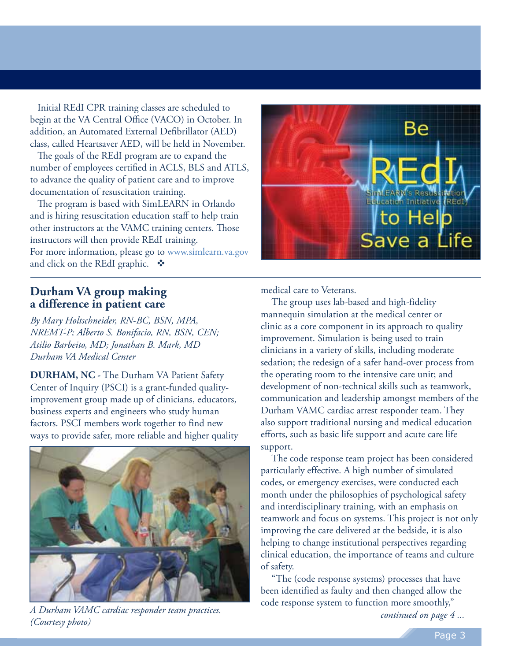Initial REdI CPR training classes are scheduled to begin at the VA Central Office (VACO) in October. In addition, an Automated External Defibrillator (AED) class, called Heartsaver AED, will be held in November.

The goals of the REdI program are to expand the number of employees certified in ACLS, BLS and ATLS, to advance the quality of patient care and to improve documentation of resuscitation training.

The program is based with SimLEARN in Orlando and is hiring resuscitation education staff to help train other instructors at the VAMC training centers. Those instructors will then provide REdI training. For more information, please go to www.simlearn.va.gov and click on the REdI graphic.  $\mathbf{\hat{\cdot}}$ 

### **Durham VA group making a difference in patient care**

*By Mary Holtschneider, RN-BC, BSN, MPA, NREMT-P; Alberto S. Bonifacio, RN, BSN, CEN; Atilio Barbeito, MD; Jonathan B. Mark, MD Durham VA Medical Center* 

**DURHAM, NC -** The Durham VA Patient Safety Center of Inquiry (PSCI) is a grant-funded qualityimprovement group made up of clinicians, educators, business experts and engineers who study human factors. PSCI members work together to find new ways to provide safer, more reliable and higher quality



*A Durham VAMC cardiac responder team practices. (Courtesy photo)* 



medical care to Veterans.

The group uses lab-based and high-fidelity mannequin simulation at the medical center or clinic as a core component in its approach to quality improvement. Simulation is being used to train clinicians in a variety of skills, including moderate sedation; the redesign of a safer hand-over process from the operating room to the intensive care unit; and development of non-technical skills such as teamwork, communication and leadership amongst members of the Durham VAMC cardiac arrest responder team. They also support traditional nursing and medical education efforts, such as basic life support and acute care life support.

The code response team project has been considered particularly effective. A high number of simulated codes, or emergency exercises, were conducted each month under the philosophies of psychological safety and interdisciplinary training, with an emphasis on teamwork and focus on systems. This project is not only improving the care delivered at the bedside, it is also helping to change institutional perspectives regarding clinical education, the importance of teams and culture of safety.

"The (code response systems) processes that have been identified as faulty and then changed allow the code response system to function more smoothly,"

*continued on page 4 ...*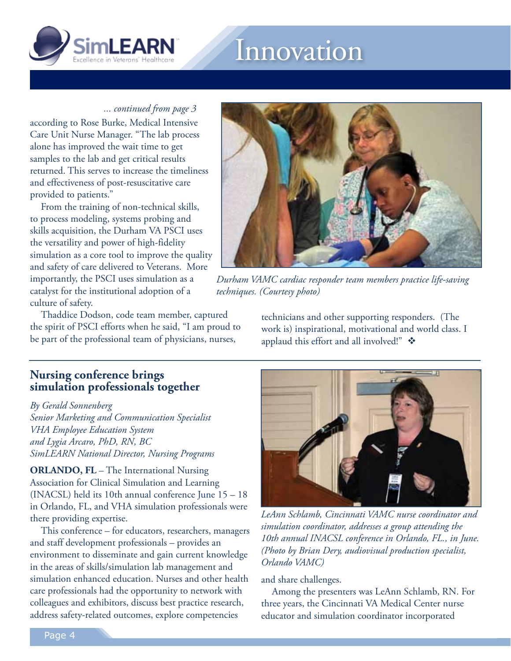

# Innovation

#### *... continued from page 3*

according to Rose Burke, Medical Intensive Care Unit Nurse Manager. "The lab process alone has improved the wait time to get samples to the lab and get critical results returned. This serves to increase the timeliness and effectiveness of post-resuscitative care provided to patients."

From the training of non-technical skills, to process modeling, systems probing and skills acquisition, the Durham VA PSCI uses the versatility and power of high-fidelity simulation as a core tool to improve the quality and safety of care delivered to Veterans. More importantly, the PSCI uses simulation as a catalyst for the institutional adoption of a culture of safety.

Thaddice Dodson, code team member, captured the spirit of PSCI efforts when he said, "I am proud to be part of the professional team of physicians, nurses,



*Durham VAMC cardiac responder team members practice life-saving techniques. (Courtesy photo)* 

technicians and other supporting responders. (The work is) inspirational, motivational and world class. I applaud this effort and all involved!"

### **Nursing conference brings simulation professionals together**

*By Gerald Sonnenberg* 

*Senior Marketing and Communication Specialist VHA Employee Education System and Lygia Arcaro, PhD, RN, BC SimLEARN National Director, Nursing Programs* 

**ORLANDO, FL** – The International Nursing Association for Clinical Simulation and Learning (INACSL) held its 10th annual conference June 15 – 18 in Orlando, FL, and VHA simulation professionals were there providing expertise.

This conference – for educators, researchers, managers and staff development professionals – provides an environment to disseminate and gain current knowledge in the areas of skills/simulation lab management and simulation enhanced education. Nurses and other health care professionals had the opportunity to network with colleagues and exhibitors, discuss best practice research, address safety-related outcomes, explore competencies



*LeAnn Schlamb, Cincinnati VAMC nurse coordinator and simulation coordinator, addresses a group attending the 10th annual INACSL conference in Orlando, FL., in June. (Photo by Brian Dery, audiovisual production specialist, Orlando VAMC)* 

and share challenges.

Among the presenters was LeAnn Schlamb, RN. For three years, the Cincinnati VA Medical Center nurse educator and simulation coordinator incorporated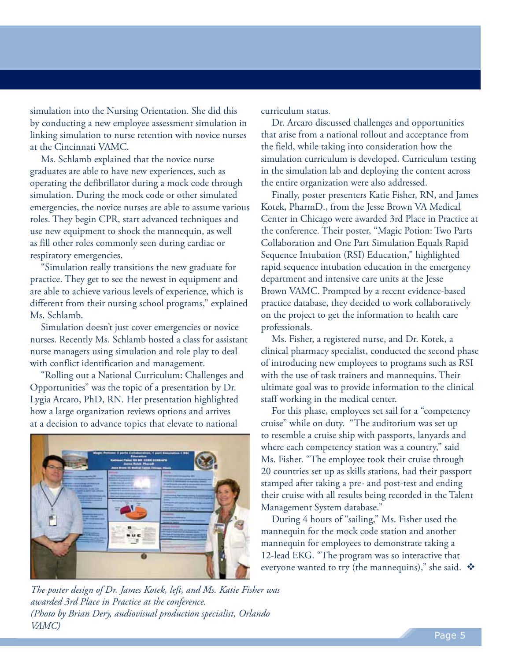simulation into the Nursing Orientation. She did this by conducting a new employee assessment simulation in linking simulation to nurse retention with novice nurses at the Cincinnati VAMC.

Ms. Schlamb explained that the novice nurse graduates are able to have new experiences, such as operating the defibrillator during a mock code through simulation. During the mock code or other simulated emergencies, the novice nurses are able to assume various roles. They begin CPR, start advanced techniques and use new equipment to shock the mannequin, as well as fill other roles commonly seen during cardiac or respiratory emergencies.

"Simulation really transitions the new graduate for practice. They get to see the newest in equipment and are able to achieve various levels of experience, which is different from their nursing school programs," explained Ms. Schlamb.

Simulation doesn't just cover emergencies or novice nurses. Recently Ms. Schlamb hosted a class for assistant nurse managers using simulation and role play to deal with conflict identification and management.

"Rolling out a National Curriculum: Challenges and Opportunities" was the topic of a presentation by Dr. Lygia Arcaro, PhD, RN. Her presentation highlighted how a large organization reviews options and arrives at a decision to advance topics that elevate to national



*The poster design of Dr. James Kotek, left, and Ms. Katie Fisher was awarded 3rd Place in Practice at the conference. (Photo by Brian Dery, audiovisual production specialist, Orlando VAMC)* 

curriculum status.

Dr. Arcaro discussed challenges and opportunities that arise from a national rollout and acceptance from the field, while taking into consideration how the simulation curriculum is developed. Curriculum testing in the simulation lab and deploying the content across the entire organization were also addressed.

Finally, poster presenters Katie Fisher, RN, and James Kotek, PharmD., from the Jesse Brown VA Medical Center in Chicago were awarded 3rd Place in Practice at the conference. Their poster, "Magic Potion: Two Parts Collaboration and One Part Simulation Equals Rapid Sequence Intubation (RSI) Education," highlighted rapid sequence intubation education in the emergency department and intensive care units at the Jesse Brown VAMC. Prompted by a recent evidence-based practice database, they decided to work collaboratively on the project to get the information to health care professionals.

Ms. Fisher, a registered nurse, and Dr. Kotek, a clinical pharmacy specialist, conducted the second phase of introducing new employees to programs such as RSI with the use of task trainers and mannequins. Their ultimate goal was to provide information to the clinical staff working in the medical center.

For this phase, employees set sail for a "competency cruise" while on duty. "The auditorium was set up to resemble a cruise ship with passports, lanyards and where each competency station was a country," said Ms. Fisher. "The employee took their cruise through 20 countries set up as skills stations, had their passport stamped after taking a pre- and post-test and ending their cruise with all results being recorded in the Talent Management System database."

During 4 hours of "sailing," Ms. Fisher used the mannequin for the mock code station and another mannequin for employees to demonstrate taking a 12-lead EKG. "The program was so interactive that everyone wanted to try (the mannequins)," she said.  $\mathbf{\hat{P}}$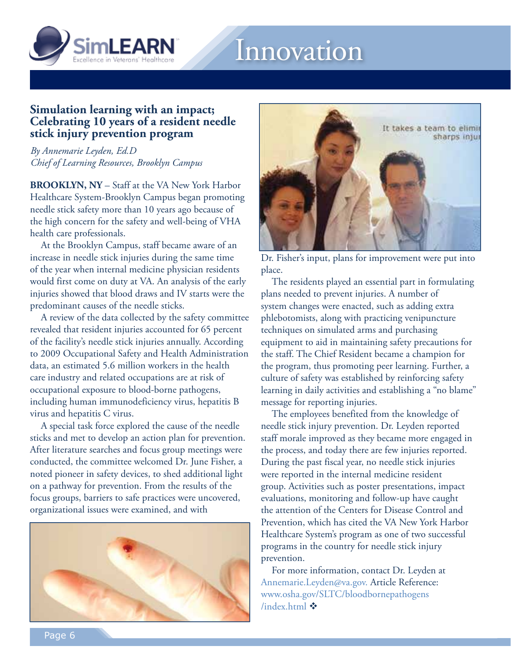

# Innovation

#### **Simulation learning with an impact; Celebrating 10 years of a resident needle stick injury prevention program**

*By Annemarie Leyden, Ed.D Chief of Learning Resources, Brooklyn Campus* 

**BROOKLYN, NY** – Staff at the VA New York Harbor Healthcare System-Brooklyn Campus began promoting needle stick safety more than 10 years ago because of the high concern for the safety and well-being of VHA health care professionals.

At the Brooklyn Campus, staff became aware of an increase in needle stick injuries during the same time of the year when internal medicine physician residents would first come on duty at VA. An analysis of the early injuries showed that blood draws and IV starts were the predominant causes of the needle sticks.

A review of the data collected by the safety committee revealed that resident injuries accounted for 65 percent of the facility's needle stick injuries annually. According to 2009 Occupational Safety and Health Administration data, an estimated 5.6 million workers in the health care industry and related occupations are at risk of occupational exposure to blood-borne pathogens, including human immunodeficiency virus, hepatitis B virus and hepatitis C virus.

A special task force explored the cause of the needle sticks and met to develop an action plan for prevention. After literature searches and focus group meetings were conducted, the committee welcomed Dr. June Fisher, a noted pioneer in safety devices, to shed additional light on a pathway for prevention. From the results of the focus groups, barriers to safe practices were uncovered, organizational issues were examined, and with





Dr. Fisher's input, plans for improvement were put into place.

The residents played an essential part in formulating plans needed to prevent injuries. A number of system changes were enacted, such as adding extra phlebotomists, along with practicing venipuncture techniques on simulated arms and purchasing equipment to aid in maintaining safety precautions for the staff. The Chief Resident became a champion for the program, thus promoting peer learning. Further, a culture of safety was established by reinforcing safety learning in daily activities and establishing a "no blame" message for reporting injuries.

The employees benefited from the knowledge of needle stick injury prevention. Dr. Leyden reported staff morale improved as they became more engaged in the process, and today there are few injuries reported. During the past fiscal year, no needle stick injuries were reported in the internal medicine resident group. Activities such as poster presentations, impact evaluations, monitoring and follow-up have caught the attention of the Centers for Disease Control and Prevention, which has cited the VA New York Harbor Healthcare System's program as one of two successful programs in the country for needle stick injury prevention.

For more information, contact Dr. Leyden at Annemarie.Leyden@va.gov. Article Reference: www.osha.gov/SLTC/bloodbornepathogens /index.html  $\clubsuit$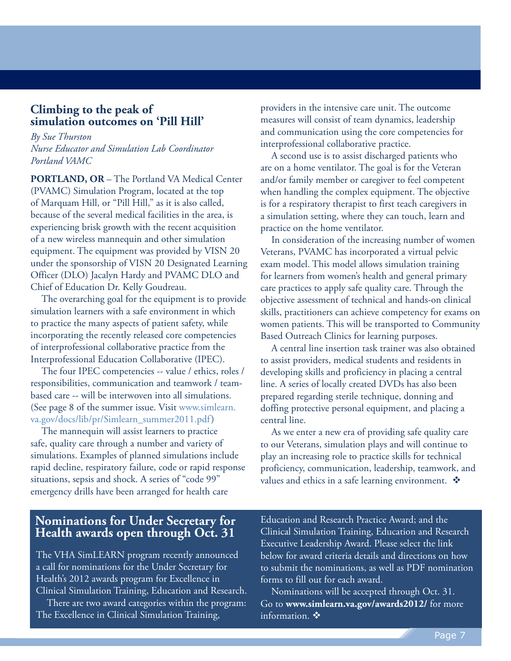#### **Climbing to the peak of simulation outcomes on 'Pill Hill'**

*By Sue Thurston Nurse Educator and Simulation Lab Coordinator Portland VAMC* 

**PORTLAND, OR** – The Portland VA Medical Center (PVAMC) Simulation Program, located at the top of Marquam Hill, or "Pill Hill," as it is also called, because of the several medical facilities in the area, is experiencing brisk growth with the recent acquisition of a new wireless mannequin and other simulation equipment. The equipment was provided by VISN 20 under the sponsorship of VISN 20 Designated Learning Officer (DLO) Jacalyn Hardy and PVAMC DLO and Chief of Education Dr. Kelly Goudreau.

The overarching goal for the equipment is to provide simulation learners with a safe environment in which to practice the many aspects of patient safety, while incorporating the recently released core competencies of interprofessional collaborative practice from the Interprofessional Education Collaborative (IPEC).

The four IPEC competencies -- value / ethics, roles / responsibilities, communication and teamwork / teambased care -- will be interwoven into all simulations. (See page 8 of the summer issue. Visit www.simlearn. va.gov/docs/lib/pr/Simlearn\_summer2011.pdf)

The mannequin will assist learners to practice safe, quality care through a number and variety of simulations. Examples of planned simulations include rapid decline, respiratory failure, code or rapid response situations, sepsis and shock. A series of "code 99" emergency drills have been arranged for health care

providers in the intensive care unit. The outcome measures will consist of team dynamics, leadership and communication using the core competencies for interprofessional collaborative practice.

A second use is to assist discharged patients who are on a home ventilator. The goal is for the Veteran and/or family member or caregiver to feel competent when handling the complex equipment. The objective is for a respiratory therapist to first teach caregivers in a simulation setting, where they can touch, learn and practice on the home ventilator.

In consideration of the increasing number of women Veterans, PVAMC has incorporated a virtual pelvic exam model. This model allows simulation training for learners from women's health and general primary care practices to apply safe quality care. Through the objective assessment of technical and hands-on clinical skills, practitioners can achieve competency for exams on women patients. This will be transported to Community Based Outreach Clinics for learning purposes.

A central line insertion task trainer was also obtained to assist providers, medical students and residents in developing skills and proficiency in placing a central line. A series of locally created DVDs has also been prepared regarding sterile technique, donning and doffing protective personal equipment, and placing a central line.

As we enter a new era of providing safe quality care to our Veterans, simulation plays and will continue to play an increasing role to practice skills for technical proficiency, communication, leadership, teamwork, and values and ethics in a safe learning environment.  $\clubsuit$ 

#### **Nominations for Under Secretary for Health awards open through Oct. 31**

The VHA SimLEARN program recently announced a call for nominations for the Under Secretary for Health's 2012 awards program for Excellence in Clinical Simulation Training, Education and Research.

There are two award categories within the program: The Excellence in Clinical Simulation Training,

Education and Research Practice Award; and the Clinical Simulation Training, Education and Research Executive Leadership Award. Please select the link below for award criteria details and directions on how to submit the nominations, as well as PDF nomination forms to fill out for each award.

Nominations will be accepted through Oct. 31. Go to **www.simlearn.va.gov/awards2012/** for more information.  $\mathbf{\hat{v}}$